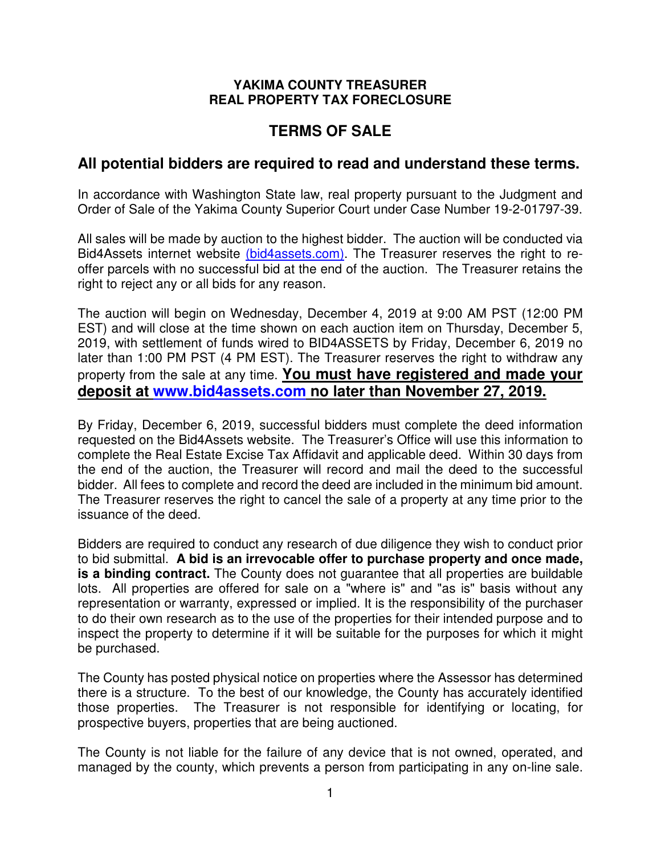#### **YAKIMA COUNTY TREASURER REAL PROPERTY TAX FORECLOSURE**

# **TERMS OF SALE**

# **All potential bidders are required to read and understand these terms.**

In accordance with Washington State law, real property pursuant to the Judgment and Order of Sale of the Yakima County Superior Court under Case Number 19-2-01797-39.

All sales will be made by auction to the highest bidder. The auction will be conducted via Bid4Assets internet website (bid4assets.com). The Treasurer reserves the right to reoffer parcels with no successful bid at the end of the auction. The Treasurer retains the right to reject any or all bids for any reason.

The auction will begin on Wednesday, December 4, 2019 at 9:00 AM PST (12:00 PM EST) and will close at the time shown on each auction item on Thursday, December 5, 2019, with settlement of funds wired to BID4ASSETS by Friday, December 6, 2019 no later than 1:00 PM PST (4 PM EST). The Treasurer reserves the right to withdraw any property from the sale at any time. **You must have registered and made your deposit at www.bid4assets.com no later than November 27, 2019.** 

By Friday, December 6, 2019, successful bidders must complete the deed information requested on the Bid4Assets website. The Treasurer's Office will use this information to complete the Real Estate Excise Tax Affidavit and applicable deed. Within 30 days from the end of the auction, the Treasurer will record and mail the deed to the successful bidder. All fees to complete and record the deed are included in the minimum bid amount. The Treasurer reserves the right to cancel the sale of a property at any time prior to the issuance of the deed.

Bidders are required to conduct any research of due diligence they wish to conduct prior to bid submittal. **A bid is an irrevocable offer to purchase property and once made, is a binding contract.** The County does not guarantee that all properties are buildable lots. All properties are offered for sale on a "where is" and "as is" basis without any representation or warranty, expressed or implied. It is the responsibility of the purchaser to do their own research as to the use of the properties for their intended purpose and to inspect the property to determine if it will be suitable for the purposes for which it might be purchased.

The County has posted physical notice on properties where the Assessor has determined there is a structure. To the best of our knowledge, the County has accurately identified those properties. The Treasurer is not responsible for identifying or locating, for prospective buyers, properties that are being auctioned.

The County is not liable for the failure of any device that is not owned, operated, and managed by the county, which prevents a person from participating in any on-line sale.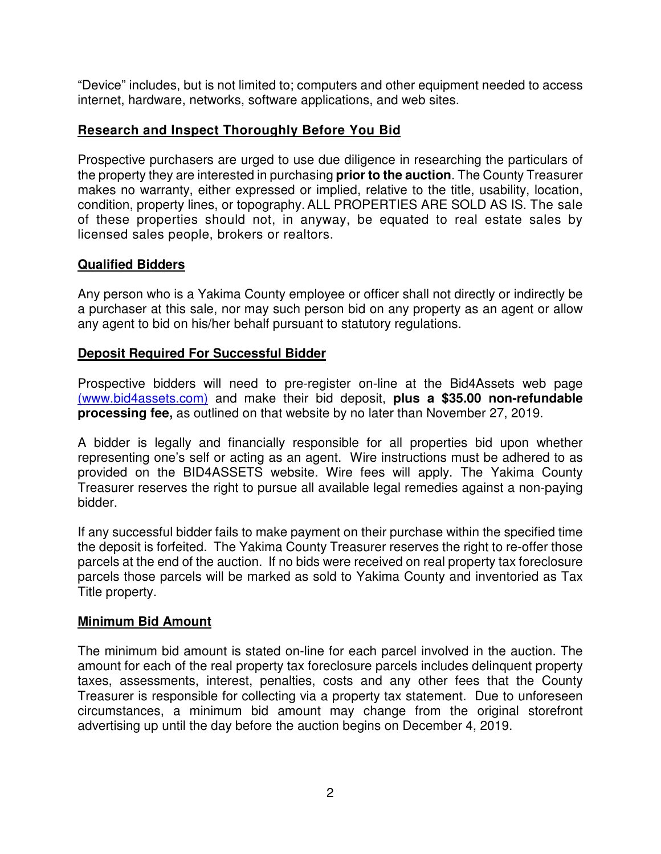"Device" includes, but is not limited to; computers and other equipment needed to access internet, hardware, networks, software applications, and web sites.

## **Research and Inspect Thoroughly Before You Bid**

Prospective purchasers are urged to use due diligence in researching the particulars of the property they are interested in purchasing **prior to the auction**. The County Treasurer makes no warranty, either expressed or implied, relative to the title, usability, location, condition, property lines, or topography.ALL PROPERTIES ARE SOLD AS IS. The sale of these properties should not, in anyway, be equated to real estate sales by licensed sales people, brokers or realtors.

#### **Qualified Bidders**

Any person who is a Yakima County employee or officer shall not directly or indirectly be a purchaser at this sale, nor may such person bid on any property as an agent or allow any agent to bid on his/her behalf pursuant to statutory regulations.

#### **Deposit Required For Successful Bidder**

Prospective bidders will need to pre-register on-line at the Bid4Assets web page (www.bid4assets.com) and make their bid deposit, **plus a \$35.00 non-refundable processing fee,** as outlined on that website by no later than November 27, 2019.

A bidder is legally and financially responsible for all properties bid upon whether representing one's self or acting as an agent. Wire instructions must be adhered to as provided on the BID4ASSETS website. Wire fees will apply. The Yakima County Treasurer reserves the right to pursue all available legal remedies against a non-paying bidder.

If any successful bidder fails to make payment on their purchase within the specified time the deposit is forfeited. The Yakima County Treasurer reserves the right to re-offer those parcels at the end of the auction. If no bids were received on real property tax foreclosure parcels those parcels will be marked as sold to Yakima County and inventoried as Tax Title property.

#### **Minimum Bid Amount**

The minimum bid amount is stated on-line for each parcel involved in the auction. The amount for each of the real property tax foreclosure parcels includes delinquent property taxes, assessments, interest, penalties, costs and any other fees that the County Treasurer is responsible for collecting via a property tax statement. Due to unforeseen circumstances, a minimum bid amount may change from the original storefront advertising up until the day before the auction begins on December 4, 2019.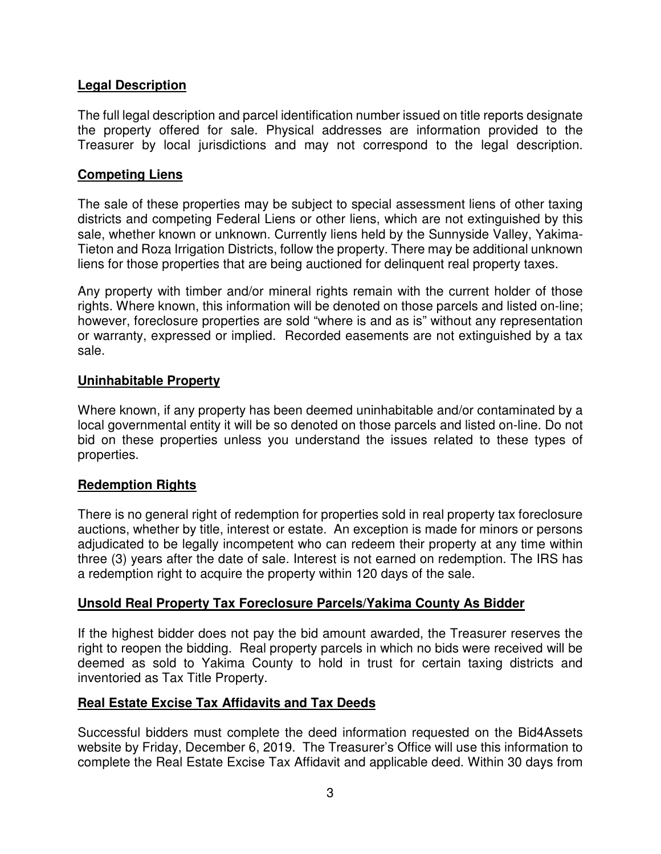# **Legal Description**

The full legal description and parcel identification number issued on title reports designate the property offered for sale. Physical addresses are information provided to the Treasurer by local jurisdictions and may not correspond to the legal description.

#### **Competing Liens**

The sale of these properties may be subject to special assessment liens of other taxing districts and competing Federal Liens or other liens, which are not extinguished by this sale, whether known or unknown. Currently liens held by the Sunnyside Valley, Yakima-Tieton and Roza Irrigation Districts, follow the property. There may be additional unknown liens for those properties that are being auctioned for delinquent real property taxes.

Any property with timber and/or mineral rights remain with the current holder of those rights. Where known, this information will be denoted on those parcels and listed on-line; however, foreclosure properties are sold "where is and as is" without any representation or warranty, expressed or implied. Recorded easements are not extinguished by a tax sale.

#### **Uninhabitable Property**

Where known, if any property has been deemed uninhabitable and/or contaminated by a local governmental entity it will be so denoted on those parcels and listed on-line. Do not bid on these properties unless you understand the issues related to these types of properties.

# **Redemption Rights**

There is no general right of redemption for properties sold in real property tax foreclosure auctions, whether by title, interest or estate. An exception is made for minors or persons adjudicated to be legally incompetent who can redeem their property at any time within three (3) years after the date of sale. Interest is not earned on redemption. The IRS has a redemption right to acquire the property within 120 days of the sale.

# **Unsold Real Property Tax Foreclosure Parcels/Yakima County As Bidder**

If the highest bidder does not pay the bid amount awarded, the Treasurer reserves the right to reopen the bidding. Real property parcels in which no bids were received will be deemed as sold to Yakima County to hold in trust for certain taxing districts and inventoried as Tax Title Property.

#### **Real Estate Excise Tax Affidavits and Tax Deeds**

Successful bidders must complete the deed information requested on the Bid4Assets website by Friday, December 6, 2019. The Treasurer's Office will use this information to complete the Real Estate Excise Tax Affidavit and applicable deed. Within 30 days from